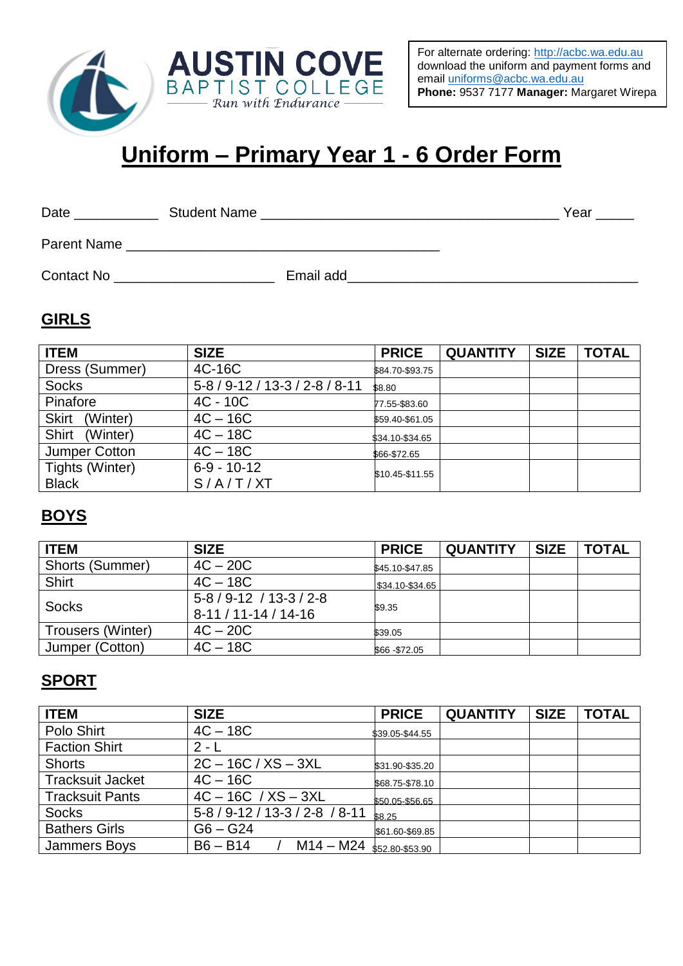

For alternate ordering: [http://acbc.wa.edu.au](http://acbc.wa.edu.au/) download the uniform and payment forms and email [uniforms@acbc.wa.edu.au](mailto:uniforms@acbc.wa.edu.au) **Phone:** 9537 7177 **Manager:** Margaret Wirepa

# **Uniform – Primary Year 1 - 6 Order Form**

| Date | Student Name |  |
|------|--------------|--|
|      |              |  |

Parent Name \_\_\_\_\_\_\_\_\_\_\_\_\_\_\_\_\_\_\_\_\_\_\_\_\_\_\_\_\_\_\_\_\_\_\_\_\_\_\_\_\_

Contact No \_\_\_\_\_\_\_\_\_\_\_\_\_\_\_\_\_\_\_\_\_ Email add\_\_\_\_\_\_\_\_\_\_\_\_\_\_\_\_\_\_\_\_\_\_\_\_\_\_\_\_\_\_\_\_\_\_\_\_\_\_

#### **GIRLS**

| <b>ITEM</b>              | <b>SIZE</b>              | <b>PRICE</b>    | <b>QUANTITY</b> | <b>SIZE</b> | <b>TOTAL</b> |
|--------------------------|--------------------------|-----------------|-----------------|-------------|--------------|
| Dress (Summer)           | 4C-16C                   | \$84.70-\$93.75 |                 |             |              |
| <b>Socks</b>             | $5-8/9-12/13-3/2-8/8-11$ | \$8.80          |                 |             |              |
| Pinafore                 | $4C - 10C$               | 77.55-\$83.60   |                 |             |              |
| <b>Skirt</b><br>(Winter) | $4C - 16C$               | \$59.40-\$61.05 |                 |             |              |
| Shirt<br>(Winter)        | $4C - 18C$               | \$34.10-\$34.65 |                 |             |              |
| <b>Jumper Cotton</b>     | $4C - 18C$               | \$66-\$72.65    |                 |             |              |
| Tights (Winter)          | $6-9 - 10-12$            | \$10.45-\$11.55 |                 |             |              |
| <b>Black</b>             | S/AYT/XT                 |                 |                 |             |              |

#### **BOYS**

| <b>ITEM</b>       | <b>SIZE</b>                                             | <b>PRICE</b>    | <b>QUANTITY</b> | <b>SIZE</b> | <b>TOTAL</b> |
|-------------------|---------------------------------------------------------|-----------------|-----------------|-------------|--------------|
| Shorts (Summer)   | $4C - 20C$                                              | \$45.10-\$47.85 |                 |             |              |
| Shirt             | $4C - 18C$                                              | \$34.10-\$34.65 |                 |             |              |
| <b>Socks</b>      | $5 - 8 / 9 - 12 / 13 - 3 / 2 - 8$<br>$8-11/11-14/14-16$ | \$9.35          |                 |             |              |
| Trousers (Winter) | $4C - 20C$                                              | \$39.05         |                 |             |              |
| Jumper (Cotton)   | $4C - 18C$                                              | \$66-\$72.05    |                 |             |              |

#### **SPORT**

| <b>ITEM</b>             | <b>SIZE</b>                               | <b>PRICE</b>    | <b>QUANTITY</b> | <b>SIZE</b> | <b>TOTAL</b> |
|-------------------------|-------------------------------------------|-----------------|-----------------|-------------|--------------|
| Polo Shirt              | $4C - 18C$                                | \$39.05-\$44.55 |                 |             |              |
| <b>Faction Shirt</b>    | $2 - 1$                                   |                 |                 |             |              |
| <b>Shorts</b>           | $2C - 16C / XS - 3XL$                     | \$31.90-\$35.20 |                 |             |              |
| <b>Tracksuit Jacket</b> | $4C - 16C$                                | \$68.75-\$78.10 |                 |             |              |
| <b>Tracksuit Pants</b>  | $4C - 16C / XS - 3XL$                     | \$50.05-\$56.65 |                 |             |              |
| <b>Socks</b>            | $5-8/9-12/13-3/2-8/8-11$                  | \$8.25          |                 |             |              |
| <b>Bathers Girls</b>    | $G6 - G24$                                | \$61.60-\$69.85 |                 |             |              |
| <b>Jammers Boys</b>     | $B6 - B14$<br>$M14 - M24$ \$52.80-\$53.90 |                 |                 |             |              |